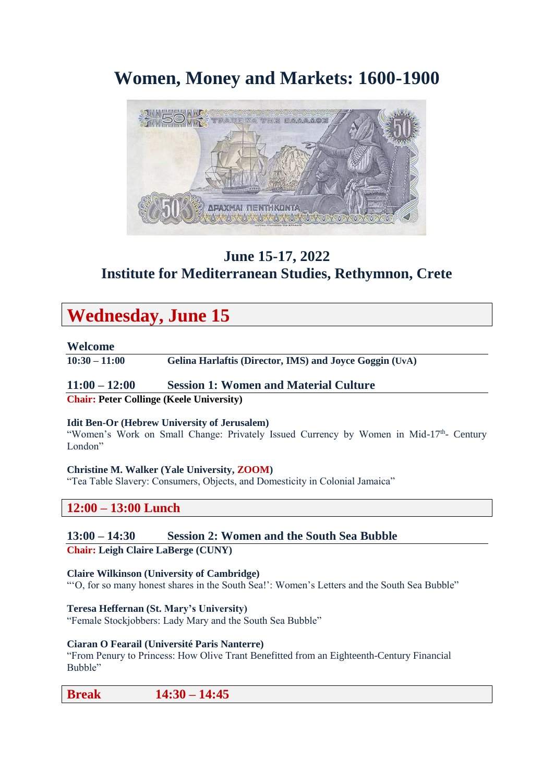# **Women, Money and Markets: 1600-1900**



## **June 15-17, 2022 Institute for Mediterranean Studies, Rethymnon, Crete**

# **Wednesday, June 15**

### **Welcome**

**10:30 – 11:00 Gelina Harlaftis (Director, IMS) and Joyce Goggin (UvA)** 

## **11:00 – 12:00 Session 1: Women and Material Culture**

**Chair: Peter Collinge (Keele University)** 

#### **Idit Ben-Or (Hebrew University of Jerusalem)**

"Women's Work on Small Change: Privately Issued Currency by Women in Mid-17<sup>th</sup>- Century London"

## **Christine M. Walker (Yale University, ZOOM)**

"Tea Table Slavery: Consumers, Objects, and Domesticity in Colonial Jamaica"

## **12:00 – 13:00 Lunch**

**13:00 – 14:30 Session 2: Women and the South Sea Bubble**

**Chair: Leigh Claire LaBerge (CUNY)**

## **Claire Wilkinson (University of Cambridge)**

"'O, for so many honest shares in the South Sea!': Women's Letters and the South Sea Bubble"

**Teresa Heffernan (St. Mary's University)** 

"Female Stockjobbers: Lady Mary and the South Sea Bubble"

#### **Ciaran O Fearail (Université Paris Nanterre)**

"From Penury to Princess: How Olive Trant Benefitted from an Eighteenth-Century Financial Bubble"

## **Break 14:30 – 14:45**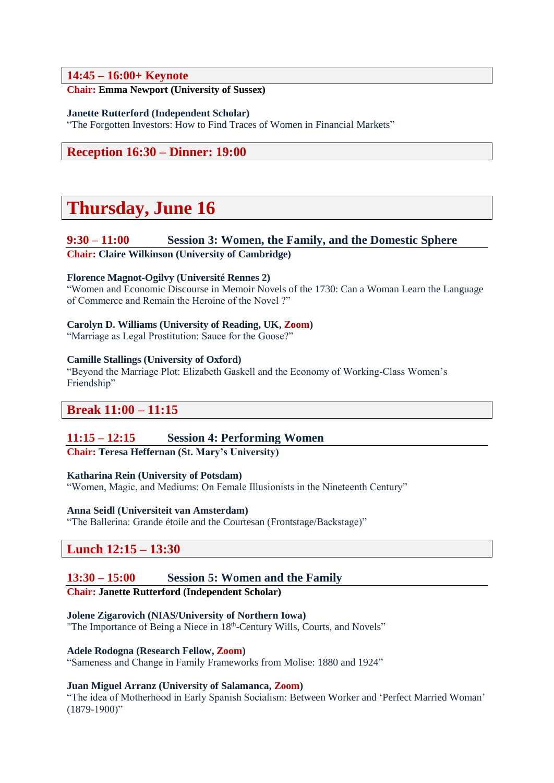## **14:45 – 16:00+ Keynote**

## **Chair: Emma Newport (University of Sussex)**

#### **Janette Rutterford (Independent Scholar)**

"The Forgotten Investors: How to Find Traces of Women in Financial Markets"

**Reception 16:30 – Dinner: 19:00**

# **Thursday, June 16**

### **9:30 – 11:00 Session 3: Women, the Family, and the Domestic Sphere**

**Chair: Claire Wilkinson (University of Cambridge)**

#### **Florence Magnot-Ogilvy (Université Rennes 2)**

"Women and Economic Discourse in Memoir Novels of the 1730: Can a Woman Learn the Language of Commerce and Remain the Heroine of the Novel ?"

### **Carolyn D. Williams (University of Reading, UK, Zoom)**

"Marriage as Legal Prostitution: Sauce for the Goose?"

#### **Camille Stallings (University of Oxford)**

"Beyond the Marriage Plot: Elizabeth Gaskell and the Economy of Working-Class Women's Friendship"

## **Break 11:00 – 11:15**

#### **11:15 – 12:15 Session 4: Performing Women**

**Chair: Teresa Heffernan (St. Mary's University)**

#### **Katharina Rein (University of Potsdam)**

"Women, Magic, and Mediums: On Female Illusionists in the Nineteenth Century"

#### **Anna Seidl (Universiteit van Amsterdam)**

"The Ballerina: Grande étoile and the Courtesan (Frontstage/Backstage)"

## **Lunch 12:15 – 13:30**

## **13:30 – 15:00 Session 5: Women and the Family**

#### **Chair: Janette Rutterford (Independent Scholar)**

#### **Jolene Zigarovich (NIAS/University of Northern Iowa)**

"The Importance of Being a Niece in 18<sup>th</sup>-Century Wills, Courts, and Novels"

#### **Adele Rodogna (Research Fellow, Zoom)**

"Sameness and Change in Family Frameworks from Molise: 1880 and 1924"

#### **Juan Miguel Arranz (University of Salamanca, Zoom)**

"The idea of Motherhood in Early Spanish Socialism: Between Worker and 'Perfect Married Woman'  $(1879-1900)$ "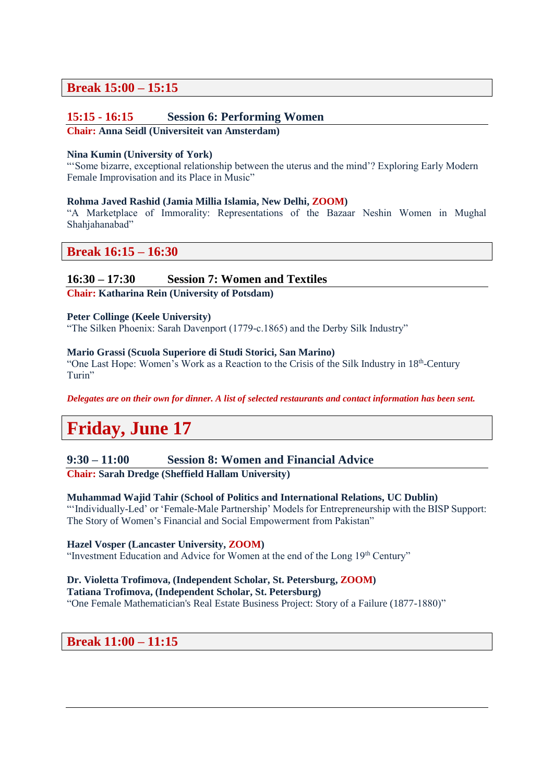## **Break 15:00 – 15:15**

## **15:15 - 16:15 Session 6: Performing Women**

#### **Chair: Anna Seidl (Universiteit van Amsterdam)**

#### **Nina Kumin (University of York)**

"'Some bizarre, exceptional relationship between the uterus and the mind'? Exploring Early Modern Female Improvisation and its Place in Music"

#### **Rohma Javed Rashid (Jamia Millia Islamia, New Delhi, ZOOM)**

"A Marketplace of Immorality: Representations of the Bazaar Neshin Women in Mughal Shahjahanabad"

## **Break 16:15 – 16:30**

## **16:30 – 17:30 Session 7: Women and Textiles**

**Chair: Katharina Rein (University of Potsdam)**

#### **Peter Collinge (Keele University)**

"The Silken Phoenix: Sarah Davenport (1779-c.1865) and the Derby Silk Industry"

#### **Mario Grassi (Scuola Superiore di Studi Storici, San Marino)**

"One Last Hope: Women's Work as a Reaction to the Crisis of the Silk Industry in 18<sup>th</sup>-Century Turin"

*Delegates are on their own for dinner. A list of selected restaurants and contact information has been sent.*

# **Friday, June 17**

#### **9:30 – 11:00 Session 8: Women and Financial Advice**

**Chair: Sarah Dredge (Sheffield Hallam University)**

#### **Muhammad Wajid Tahir (School of Politics and International Relations, UC Dublin)**

"'Individually-Led' or 'Female-Male Partnership' Models for Entrepreneurship with the BISP Support: The Story of Women's Financial and Social Empowerment from Pakistan"

#### **Hazel Vosper (Lancaster University, ZOOM)**

"Investment Education and Advice for Women at the end of the Long 19th Century"

## **Dr. Violetta Trofimova, (Independent Scholar, St. Petersburg, ZOOM)**

## **Tatiana Trofimova, (Independent Scholar, St. Petersburg)**

"One Female Mathematician's Real Estate Business Project: Story of a Failure (1877-1880)"

## **Break 11:00 – 11:15**